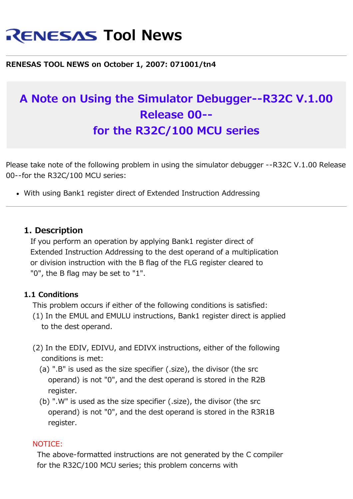# **RENESAS Tool News**

#### **RENESAS TOOL NEWS on October 1, 2007: 071001/tn4**

# **A Note on Using the Simulator Debugger--R32C V.1.00 Release 00- for the R32C/100 MCU series**

Please take note of the following problem in using the simulator debugger --R32C V.1.00 Release 00--for the R32C/100 MCU series:

With using Bank1 register direct of Extended Instruction Addressing

#### **1. Description**

 If you perform an operation by applying Bank1 register direct of Extended Instruction Addressing to the dest operand of a multiplication or division instruction with the B flag of the FLG register cleared to "0", the B flag may be set to "1".

#### **1.1 Conditions**

This problem occurs if either of the following conditions is satisfied:

- (1) In the EMUL and EMULU instructions, Bank1 register direct is applied to the dest operand.
- (2) In the EDIV, EDIVU, and EDIVX instructions, either of the following conditions is met:
	- (a) ".B" is used as the size specifier (.size), the divisor (the src operand) is not "0", and the dest operand is stored in the R2B register.
	- (b) ".W" is used as the size specifier (.size), the divisor (the src operand) is not "0", and the dest operand is stored in the R3R1B register.

#### NOTICE:

 The above-formatted instructions are not generated by the C compiler for the R32C/100 MCU series; this problem concerns with